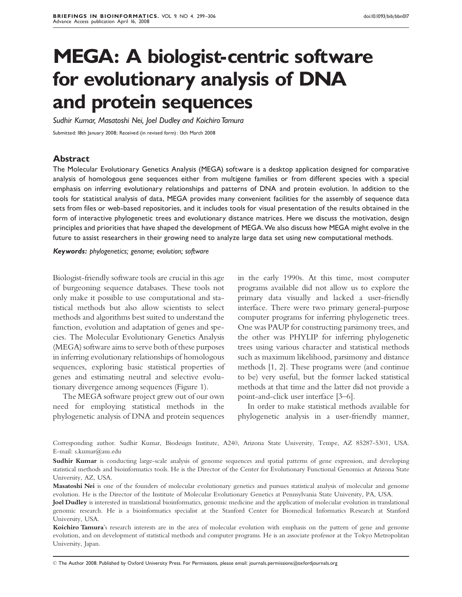# MEGA: A biologist-centric software for evolutionary analysis of DNA and protein sequences

Sudhir Kumar, Masatoshi Nei, Joel Dudley and Koichiro Tamura

Submitted: 18th January 2008; Received (in revised form): 13th March 2008

#### Abstract

The Molecular Evolutionary Genetics Analysis (MEGA) software is a desktop application designed for comparative analysis of homologous gene sequences either from multigene families or from different species with a special emphasis on inferring evolutionary relationships and patterns of DNA and protein evolution. In addition to the tools for statistical analysis of data, MEGA provides many convenient facilities for the assembly of sequence data sets from files or web-based repositories, and it includes tools for visual presentation of the results obtained in the form of interactive phylogenetic trees and evolutionary distance matrices. Here we discuss the motivation, design principles and priorities that have shaped the development of MEGA.We also discuss how MEGA might evolve in the future to assist researchers in their growing need to analyze large data set using new computational methods.

Keywords: phylogenetics; genome; evolution; software

Biologist-friendly software tools are crucial in this age of burgeoning sequence databases. These tools not only make it possible to use computational and statistical methods but also allow scientists to select methods and algorithms best suited to understand the function, evolution and adaptation of genes and species. The Molecular Evolutionary Genetics Analysis (MEGA) software aims to serve both of these purposes in inferring evolutionary relationships of homologous sequences, exploring basic statistical properties of genes and estimating neutral and selective evolutionary divergence among sequences (Figure 1).

The MEGA software project grew out of our own need for employing statistical methods in the phylogenetic analysis of DNA and protein sequences

in the early 1990s. At this time, most computer programs available did not allow us to explore the primary data visually and lacked a user-friendly interface. There were two primary general-purpose computer programs for inferring phylogenetic trees. One was PAUP for constructing parsimony trees, and the other was PHYLIP for inferring phylogenetic trees using various character and statistical methods such as maximum likelihood, parsimony and distance methods [1, 2]. These programs were (and continue to be) very useful, but the former lacked statistical methods at that time and the latter did not provide a point-and-click user interface [3–6].

In order to make statistical methods available for phylogenetic analysis in a user-friendly manner,

Corresponding author. Sudhir Kumar, Biodesign Institute, A240, Arizona State University, Tempe, AZ 85287-5301, USA. E-mail: s.kumar@asu.edu

Sudhir Kumar is conducting large-scale analysis of genome sequences and spatial patterns of gene expression, and developing statistical methods and bioinformatics tools. He is the Director of the Center for Evolutionary Functional Genomics at Arizona State University, AZ, USA.

Masatoshi Nei is one of the founders of molecular evolutionary genetics and pursues statistical analysis of molecular and genome evolution. He is the Director of the Institute of Molecular Evolutionary Genetics at Pennsylvania State University, PA, USA.

Joel Dudley is interested in translational bioinformatics, genomic medicine and the application of molecular evolution in translational genomic research. He is a bioinformatics specialist at the Stanford Center for Biomedical Informatics Research at Stanford University, USA.

Koichiro Tamura's research interests are in the area of molecular evolution with emphasis on the pattern of gene and genome evolution, and on development of statistical methods and computer programs. He is an associate professor at the Tokyo Metropolitan University, Japan.

The Author 2008. Published by Oxford University Press. For Permissions, please email: journals.permissions@oxfordjournals.org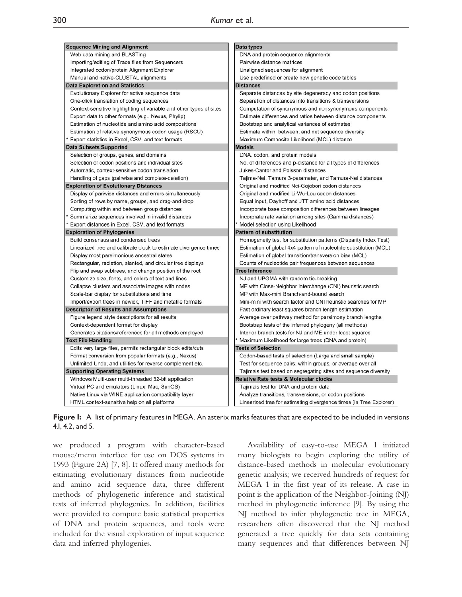| <b>Sequence Mining and Alignment</b>                                | Data types                                                          |
|---------------------------------------------------------------------|---------------------------------------------------------------------|
| Web data mining and BLASTing                                        | DNA and protein sequence alignments                                 |
| Importing/editing of Trace files from Sequencers                    | Pairwise distance matrices                                          |
| Integrated codon/protein Alignment Explorer                         | Unaligned sequences for alignment                                   |
| Manual and native-CLUSTAL alignments                                | Use predefined or create new genetic code tables                    |
| <b>Data Exploretion and Statistics</b>                              | <b>Distances</b>                                                    |
| Evolutionary Explorer for active sequence data                      | Separate distances by site degeneracy and codon positions           |
| One-click translation of coding sequences                           | Separation of distances into transitions & transversions            |
| Context-sensitive highlighting of variable and other types of sites | Computation of synonymous and nonsynonymous components              |
| Export data to other formats (e.g., Nexus, Phylip)                  | Estimate differences and ratios between distance components         |
| Estimation of nucleotide and amino acid compositions                | Bootstrap and analytical variances of estimates                     |
| Estimation of relative synonymous codon usage (RSCU)                | Estimate within, between, and net sequence diversity                |
| Export statistics in Excel, CSV, and text formats                   | Maximum Composite Likelihood (MCL) distance                         |
| <b>Data Subsets Supported</b>                                       | <b>Models</b>                                                       |
| Selection of groups, genes, and domains                             | DNA, codon, and protein models                                      |
| Selection of codon positions and individual sites                   | No. of differences and p-distance for all types of differences      |
| Automatic, context-sensitive codon translation                      | Jukes-Cantor and Poisson distances                                  |
| Handling of gaps (pairwise and complete-deletion)                   | Tajima-Nei, Tamura 3-parameter, and Tamura-Nei distances            |
| <b>Exploration of Evolutionary Distances</b>                        | Original and modified Nei-Gojobori codon distances                  |
| Display of pariwise distances and errors simultaneously             | Original and modified Li-Wu-Lou codon distances                     |
| Sorting of rows by name, groups, and drag-and-drop                  | Equal input, Dayhoff and JTT amino acid distances                   |
| Computing within and between group distances                        | Incorporate base composition differences between lineages           |
| Summarize sequences involved in invalid distances                   | Incorprate rate variation among sites (Gamma distances)             |
| Export distances in Excel, CSV, and text formats                    | Model selection using Likelihood                                    |
| <b>Exploration of Phylogenies</b>                                   | <b>Pattern of substitution</b>                                      |
| Build consensus and condensed trees                                 | Homogeneity test for substitution patterns (Disparity Index Test)   |
| Linearized tree and calibrate clock to estimate divergence times    | Estimation of global 4x4 pattern of nucleotide substitution (MCL)   |
| Display most parsimonious ancestral states                          | Estimation of global transition/transversion bias (MCL)             |
| Rectangular, radiation, slanted, and circular tree displays         | Counts of nucleotide pair frequences between sequences              |
| Flip and swap subtrees, and change position of the root             | <b>Tree Inference</b>                                               |
| Customize size, fonts, and colors of text and lines                 | NJ and UPGMA with random tie-breaking                               |
| Collapse clusters and associate images with nodes                   | ME with Close-Neighbor Interchange (CNI) heuristic search           |
| Scale-bar display for substitutions and time                        | MP with Max-mini Branch-and-bound search                            |
| Import/export trees in newick, TIFF and metafile formats            | Mini-mini with search factor and CNI heuristic searches for MP      |
| <b>Descripton of Results and Assumptions</b>                        | Fast ordinary least squares branch length estimation                |
| Figure legend style descriptions for all results                    | Average over pathway method for parsimony branch lengths            |
| Context-dependent format for display                                | Bootstrap tests of the inferred phylogeny (all methods)             |
| Generates citations/references for all methods employed             | Interior-branch tests for NJ and ME under least-squares             |
| <b>Text File Handling</b>                                           | Maximum Likelihood for large trees (DNA and protein)                |
| Edits very large files, permits rectangular block edits/cuts        | <b>Tests of Selection</b>                                           |
| Format conversion from popular formats (e.g., Nexus)                | Codon-based tests of selection (Large and small sample)             |
| Unlimited Undo, and utilities for reverse complement etc.           | Test for sequence pairs, within groups, or average over all         |
| <b>Supporting Operating Systems</b>                                 | Tajima's test based on segregating sites and sequence diversity     |
| Windows Multi-user multi-threaded 32-bit application                | <b>Relative Rate tests &amp; Molecular clocks</b>                   |
| Virtual PC and emulators (Linux, Mac, SunOS)                        | Tajima's test for DNA and protein data                              |
| Native Linux via WINE application compatibility layer               | Analyze transitions, transversions, or codon positions              |
| HTML context-sensitive help on all platforms                        | Linearized tree for estimating divergtence times (in Tree Explorer) |

Figure I: A list of primary features in MEGA. An asterix marks features that are expected to be included in versions 4.1, 4.2, and 5.

we produced a program with character-based mouse/menu interface for use on DOS systems in 1993 (Figure 2A) [7, 8]. It offered many methods for estimating evolutionary distances from nucleotide and amino acid sequence data, three different methods of phylogenetic inference and statistical tests of inferred phylogenies. In addition, facilities were provided to compute basic statistical properties of DNA and protein sequences, and tools were included for the visual exploration of input sequence data and inferred phylogenies.

Availability of easy-to-use MEGA 1 initiated many biologists to begin exploring the utility of distance-based methods in molecular evolutionary genetic analysis; we received hundreds of request for MEGA 1 in the first year of its release. A case in point is the application of the Neighbor-Joining (NJ) method in phylogenetic inference [9]. By using the NJ method to infer phylogenetic tree in MEGA, researchers often discovered that the NJ method generated a tree quickly for data sets containing many sequences and that differences between NJ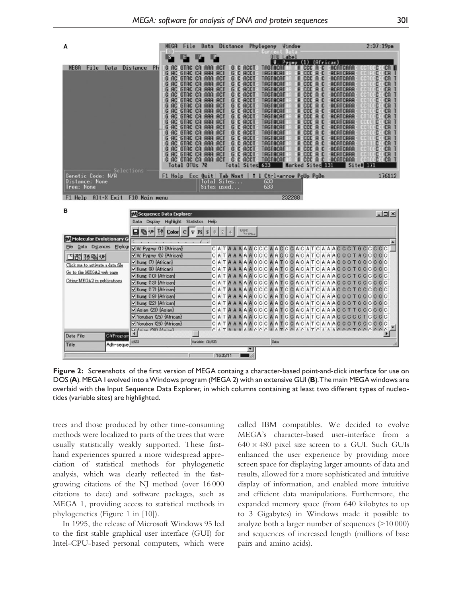

Figure 2: Screenshots of the first version of MEGA containg a character-based point-and-click interface for use on DOS (A). MEGA I evolved into a Windows program (MEGA 2) with an extensive GUI (B). The main MEGA windows are overlaid with the Input Sequence Data Explorer, in which columns containing at least two different types of nucleotides (variable sites) are highlighted.

trees and those produced by other time-consuming methods were localized to parts of the trees that were usually statistically weakly supported. These firsthand experiences spurred a more widespread appreciation of statistical methods for phylogenetic analysis, which was clearly reflected in the fastgrowing citations of the NJ method (over 16 000 citations to date) and software packages, such as MEGA 1, providing access to statistical methods in phylogenetics (Figure 1 in [10]).

In 1995, the release of Microsoft Windows 95 led to the first stable graphical user interface (GUI) for Intel-CPU-based personal computers, which were

called IBM compatibles. We decided to evolve MEGA's character-based user-interface from a  $640 \times 480$  pixel size screen to a GUI. Such GUIs enhanced the user experience by providing more screen space for displaying larger amounts of data and results, allowed for a more sophisticated and intuitive display of information, and enabled more intuitive and efficient data manipulations. Furthermore, the expanded memory space (from 640 kilobytes to up to 3 Gigabytes) in Windows made it possible to analyze both a larger number of sequences (>10 000) and sequences of increased length (millions of base pairs and amino acids).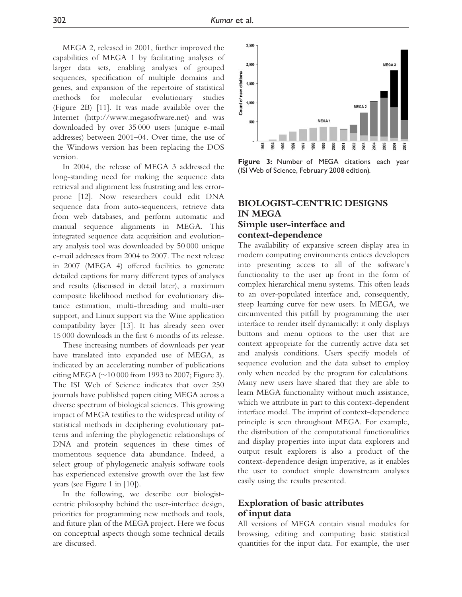MEGA 2, released in 2001, further improved the capabilities of MEGA 1 by facilitating analyses of larger data sets, enabling analyses of grouped sequences, specification of multiple domains and genes, and expansion of the repertoire of statistical methods for molecular evolutionary studies (Figure 2B) [11]. It was made available over the Internet [\(http://www.megasoftware.net\)](http://www.megasoftware.net) and was downloaded by over 35 000 users (unique e-mail addresses) between 2001–04. Over time, the use of the Windows version has been replacing the DOS version.

In 2004, the release of MEGA 3 addressed the long-standing need for making the sequence data retrieval and alignment less frustrating and less errorprone [12]. Now researchers could edit DNA sequence data from auto-sequencers, retrieve data from web databases, and perform automatic and manual sequence alignments in MEGA. This integrated sequence data acquisition and evolutionary analysis tool was downloaded by 50 000 unique e-mail addresses from 2004 to 2007. The next release in 2007 (MEGA 4) offered facilities to generate detailed captions for many different types of analyses and results (discussed in detail later), a maximum composite likelihood method for evolutionary distance estimation, multi-threading and multi-user support, and Linux support via the Wine application compatibility layer [13]. It has already seen over 15 000 downloads in the first 6 months of its release.

These increasing numbers of downloads per year have translated into expanded use of MEGA, as indicated by an accelerating number of publications citing MEGA ( $\sim$  10 000 from 1993 to 2007; Figure 3). The ISI Web of Science indicates that over 250 journals have published papers citing MEGA across a diverse spectrum of biological sciences. This growing impact of MEGA testifies to the widespread utility of statistical methods in deciphering evolutionary patterns and inferring the phylogenetic relationships of DNA and protein sequences in these times of momentous sequence data abundance. Indeed, a select group of phylogenetic analysis software tools has experienced extensive growth over the last few years (see Figure 1 in [10]).

In the following, we describe our biologistcentric philosophy behind the user-interface design, priorities for programming new methods and tools, and future plan of the MEGA project. Here we focus on conceptual aspects though some technical details are discussed.



Figure 3: Number of MEGA citations each year (ISI Web of Science, February 2008 edition).

# BIOLOGIST-CENTRIC DESIGNS IN MEGA Simple user-interface and context-dependence

The availability of expansive screen display area in modern computing environments entices developers into presenting access to all of the software's functionality to the user up front in the form of complex hierarchical menu systems. This often leads to an over-populated interface and, consequently, steep learning curve for new users. In MEGA, we circumvented this pitfall by programming the user interface to render itself dynamically: it only displays buttons and menu options to the user that are context appropriate for the currently active data set and analysis conditions. Users specify models of sequence evolution and the data subset to employ only when needed by the program for calculations. Many new users have shared that they are able to learn MEGA functionality without much assistance, which we attribute in part to this context-dependent interface model. The imprint of context-dependence principle is seen throughout MEGA. For example, the distribution of the computational functionalities and display properties into input data explorers and output result explorers is also a product of the context-dependence design imperative, as it enables the user to conduct simple downstream analyses easily using the results presented.

## Exploration of basic attributes of input data

All versions of MEGA contain visual modules for browsing, editing and computing basic statistical quantities for the input data. For example, the user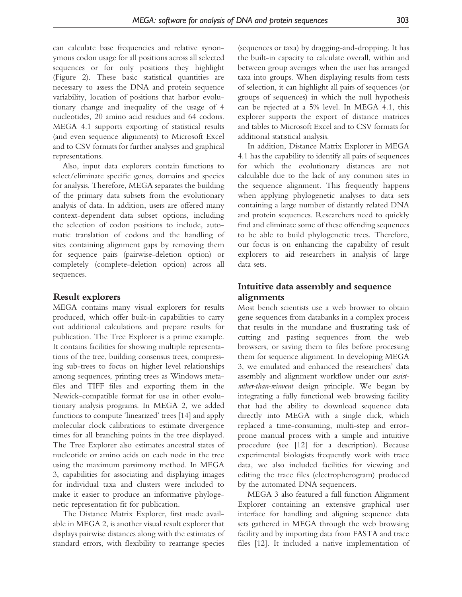can calculate base frequencies and relative synonymous codon usage for all positions across all selected sequences or for only positions they highlight (Figure 2). These basic statistical quantities are necessary to assess the DNA and protein sequence variability, location of positions that harbor evolutionary change and inequality of the usage of 4 nucleotides, 20 amino acid residues and 64 codons. MEGA 4.1 supports exporting of statistical results (and even sequence alignments) to Microsoft Excel and to CSV formats for further analyses and graphical representations.

Also, input data explorers contain functions to select/eliminate specific genes, domains and species for analysis. Therefore, MEGA separates the building of the primary data subsets from the evolutionary analysis of data. In addition, users are offered many context-dependent data subset options, including the selection of codon positions to include, automatic translation of codons and the handling of sites containing alignment gaps by removing them for sequence pairs (pairwise-deletion option) or completely (complete-deletion option) across all sequences.

#### Result explorers

MEGA contains many visual explorers for results produced, which offer built-in capabilities to carry out additional calculations and prepare results for publication. The Tree Explorer is a prime example. It contains facilities for showing multiple representations of the tree, building consensus trees, compressing sub-trees to focus on higher level relationships among sequences, printing trees as Windows metafiles and TIFF files and exporting them in the Newick-compatible format for use in other evolutionary analysis programs. In MEGA 2, we added functions to compute 'linearized' trees [14] and apply molecular clock calibrations to estimate divergence times for all branching points in the tree displayed. The Tree Explorer also estimates ancestral states of nucleotide or amino acids on each node in the tree using the maximum parsimony method. In MEGA 3, capabilities for associating and displaying images for individual taxa and clusters were included to make it easier to produce an informative phylogenetic representation fit for publication.

The Distance Matrix Explorer, first made available in MEGA 2, is another visual result explorer that displays pairwise distances along with the estimates of standard errors, with flexibility to rearrange species

(sequences or taxa) by dragging-and-dropping. It has the built-in capacity to calculate overall, within and between group averages when the user has arranged taxa into groups. When displaying results from tests of selection, it can highlight all pairs of sequences (or groups of sequences) in which the null hypothesis can be rejected at a 5% level. In MEGA 4.1, this explorer supports the export of distance matrices and tables to Microsoft Excel and to CSV formats for additional statistical analysis.

In addition, Distance Matrix Explorer in MEGA 4.1 has the capability to identify all pairs of sequences for which the evolutionary distances are not calculable due to the lack of any common sites in the sequence alignment. This frequently happens when applying phylogenetic analyses to data sets containing a large number of distantly related DNA and protein sequences. Researchers need to quickly find and eliminate some of these offending sequences to be able to build phylogenetic trees. Therefore, our focus is on enhancing the capability of result explorers to aid researchers in analysis of large data sets.

### Intuitive data assembly and sequence alignments

Most bench scientists use a web browser to obtain gene sequences from databanks in a complex process that results in the mundane and frustrating task of cutting and pasting sequences from the web browsers, or saving them to files before processing them for sequence alignment. In developing MEGA 3, we emulated and enhanced the researchers' data assembly and alignment workflow under our assistrather-than-reinvent design principle. We began by integrating a fully functional web browsing facility that had the ability to download sequence data directly into MEGA with a single click, which replaced a time-consuming, multi-step and errorprone manual process with a simple and intuitive procedure (see [12] for a description). Because experimental biologists frequently work with trace data, we also included facilities for viewing and editing the trace files (electropherogram) produced by the automated DNA sequencers.

MEGA 3 also featured a full function Alignment Explorer containing an extensive graphical user interface for handling and aligning sequence data sets gathered in MEGA through the web browsing facility and by importing data from FASTA and trace files [12]. It included a native implementation of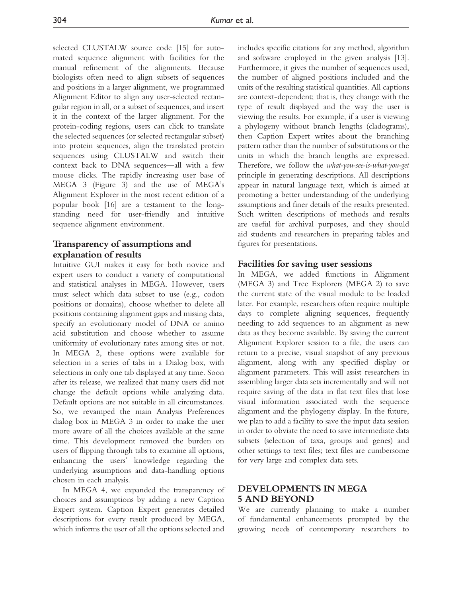selected CLUSTALW source code [15] for automated sequence alignment with facilities for the manual refinement of the alignments. Because biologists often need to align subsets of sequences and positions in a larger alignment, we programmed Alignment Editor to align any user-selected rectangular region in all, or a subset of sequences, and insert it in the context of the larger alignment. For the protein-coding regions, users can click to translate the selected sequences (or selected rectangular subset) into protein sequences, align the translated protein sequences using CLUSTALW and switch their context back to DNA sequences—all with a few mouse clicks. The rapidly increasing user base of MEGA 3 (Figure 3) and the use of MEGA's Alignment Explorer in the most recent edition of a popular book [16] are a testament to the longstanding need for user-friendly and intuitive sequence alignment environment.

## Transparency of assumptions and explanation of results

Intuitive GUI makes it easy for both novice and expert users to conduct a variety of computational and statistical analyses in MEGA. However, users must select which data subset to use (e.g., codon positions or domains), choose whether to delete all positions containing alignment gaps and missing data, specify an evolutionary model of DNA or amino acid substitution and choose whether to assume uniformity of evolutionary rates among sites or not. In MEGA 2, these options were available for selection in a series of tabs in a Dialog box, with selections in only one tab displayed at any time. Soon after its release, we realized that many users did not change the default options while analyzing data. Default options are not suitable in all circumstances. So, we revamped the main Analysis Preferences dialog box in MEGA 3 in order to make the user more aware of all the choices available at the same time. This development removed the burden on users of flipping through tabs to examine all options, enhancing the users' knowledge regarding the underlying assumptions and data-handling options chosen in each analysis.

In MEGA 4, we expanded the transparency of choices and assumptions by adding a new Caption Expert system. Caption Expert generates detailed descriptions for every result produced by MEGA, which informs the user of all the options selected and

includes specific citations for any method, algorithm and software employed in the given analysis [13]. Furthermore, it gives the number of sequences used, the number of aligned positions included and the units of the resulting statistical quantities. All captions are context-dependent; that is, they change with the type of result displayed and the way the user is viewing the results. For example, if a user is viewing a phylogeny without branch lengths (cladograms), then Caption Expert writes about the branching pattern rather than the number of substitutions or the units in which the branch lengths are expressed. Therefore, we follow the what-you-see-is-what-you-get principle in generating descriptions. All descriptions appear in natural language text, which is aimed at promoting a better understanding of the underlying assumptions and finer details of the results presented. Such written descriptions of methods and results are useful for archival purposes, and they should aid students and researchers in preparing tables and figures for presentations.

#### Facilities for saving user sessions

In MEGA, we added functions in Alignment (MEGA 3) and Tree Explorers (MEGA 2) to save the current state of the visual module to be loaded later. For example, researchers often require multiple days to complete aligning sequences, frequently needing to add sequences to an alignment as new data as they become available. By saving the current Alignment Explorer session to a file, the users can return to a precise, visual snapshot of any previous alignment, along with any specified display or alignment parameters. This will assist researchers in assembling larger data sets incrementally and will not require saving of the data in flat text files that lose visual information associated with the sequence alignment and the phylogeny display. In the future, we plan to add a facility to save the input data session in order to obviate the need to save intermediate data subsets (selection of taxa, groups and genes) and other settings to text files; text files are cumbersome for very large and complex data sets.

## DEVELOPMENTS IN MEGA 5 AND BEYOND

We are currently planning to make a number of fundamental enhancements prompted by the growing needs of contemporary researchers to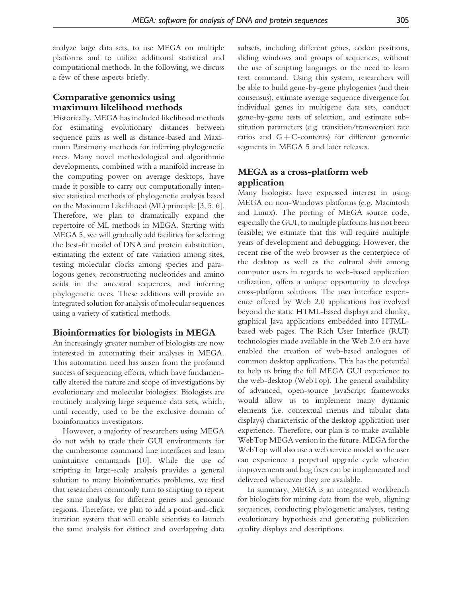analyze large data sets, to use MEGA on multiple platforms and to utilize additional statistical and computational methods. In the following, we discuss a few of these aspects briefly.

# Comparative genomics using maximum likelihood methods

Historically, MEGA has included likelihood methods for estimating evolutionary distances between sequence pairs as well as distance-based and Maximum Parsimony methods for inferring phylogenetic trees. Many novel methodological and algorithmic developments, combined with a manifold increase in the computing power on average desktops, have made it possible to carry out computationally intensive statistical methods of phylogenetic analysis based on the Maximum Likelihood (ML) principle [3, 5, 6]. Therefore, we plan to dramatically expand the repertoire of ML methods in MEGA. Starting with MEGA 5, we will gradually add facilities for selecting the best-fit model of DNA and protein substitution, estimating the extent of rate variation among sites, testing molecular clocks among species and paralogous genes, reconstructing nucleotides and amino acids in the ancestral sequences, and inferring phylogenetic trees. These additions will provide an integrated solution for analysis of molecular sequences using a variety of statistical methods.

#### Bioinformatics for biologists in MEGA

An increasingly greater number of biologists are now interested in automating their analyses in MEGA. This automation need has arisen from the profound success of sequencing efforts, which have fundamentally altered the nature and scope of investigations by evolutionary and molecular biologists. Biologists are routinely analyzing large sequence data sets, which, until recently, used to be the exclusive domain of bioinformatics investigators.

However, a majority of researchers using MEGA do not wish to trade their GUI environments for the cumbersome command line interfaces and learn unintuitive commands [10]. While the use of scripting in large-scale analysis provides a general solution to many bioinformatics problems, we find that researchers commonly turn to scripting to repeat the same analysis for different genes and genomic regions. Therefore, we plan to add a point-and-click iteration system that will enable scientists to launch the same analysis for distinct and overlapping data

subsets, including different genes, codon positions, sliding windows and groups of sequences, without the use of scripting languages or the need to learn text command. Using this system, researchers will be able to build gene-by-gene phylogenies (and their consensus), estimate average sequence divergence for individual genes in multigene data sets, conduct gene-by-gene tests of selection, and estimate substitution parameters (e.g. transition/transversion rate ratios and  $G + C$ -contents) for different genomic segments in MEGA 5 and later releases.

# MEGA as a cross-platform web application

Many biologists have expressed interest in using MEGA on non-Windows platforms (e.g. Macintosh and Linux). The porting of MEGA source code, especially the GUI, to multiple platforms has not been feasible; we estimate that this will require multiple years of development and debugging. However, the recent rise of the web browser as the centerpiece of the desktop as well as the cultural shift among computer users in regards to web-based application utilization, offers a unique opportunity to develop cross-platform solutions. The user interface experience offered by Web 2.0 applications has evolved beyond the static HTML-based displays and clunky, graphical Java applications embedded into HTMLbased web pages. The Rich User Interface (RUI) technologies made available in the Web 2.0 era have enabled the creation of web-based analogues of common desktop applications. This has the potential to help us bring the full MEGA GUI experience to the web-desktop (WebTop). The general availability of advanced, open-source JavaScript frameworks would allow us to implement many dynamic elements (i.e. contextual menus and tabular data displays) characteristic of the desktop application user experience. Therefore, our plan is to make available WebTop MEGA version in the future. MEGA for the WebTop will also use a web service model so the user can experience a perpetual upgrade cycle wherein improvements and bug fixes can be implemented and delivered whenever they are available.

In summary, MEGA is an integrated workbench for biologists for mining data from the web, aligning sequences, conducting phylogenetic analyses, testing evolutionary hypothesis and generating publication quality displays and descriptions.